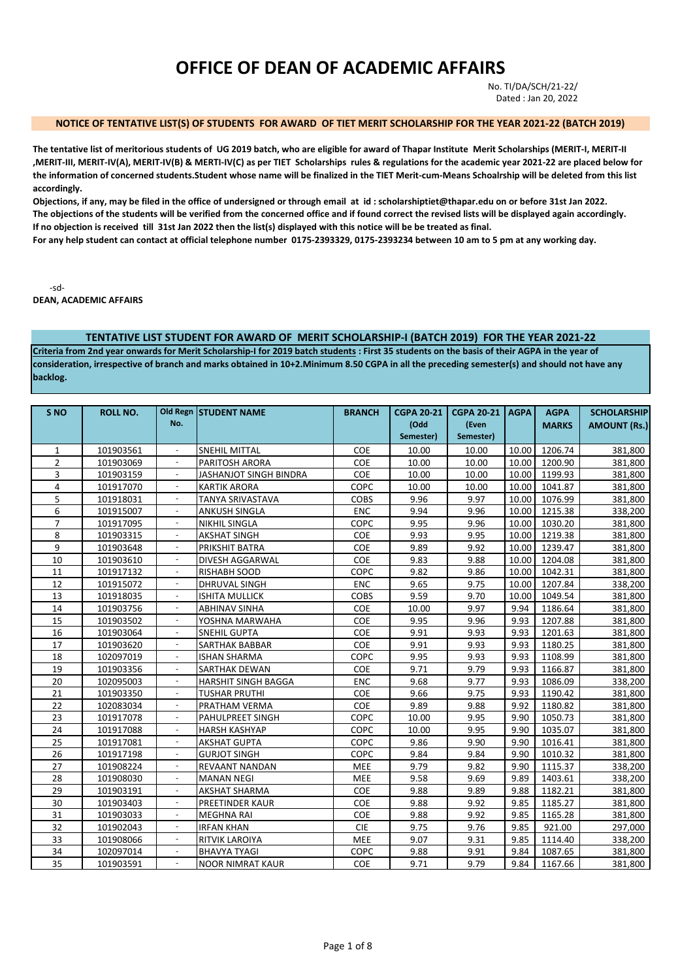# **OFFICE OF DEAN OF ACADEMIC AFFAIRS**

No. TI/DA/SCH/21-22/ Dated : Jan 20, 2022

#### **NOTICE OF TENTATIVE LIST(S) OF STUDENTS FOR AWARD OF TIET MERIT SCHOLARSHIP FOR THE YEAR 2021-22 (BATCH 2019)**

**The tentative list of meritorious students of UG 2019 batch, who are eligible for award of Thapar Institute Merit Scholarships (MERIT-I, MERIT-II ,MERIT-III, MERIT-IV(A), MERIT-IV(B) & MERTI-IV(C) as per TIET Scholarships rules & regulations for the academic year 2021-22 are placed below for the information of concerned students.Student whose name will be finalized in the TIET Merit-cum-Means Schoalrship will be deleted from this list accordingly.** 

**Objections, if any, may be filed in the office of undersigned or through email at id : scholarshiptiet@thapar.edu on or before 31st Jan 2022. The objections of the students will be verified from the concerned office and if found correct the revised lists will be displayed again accordingly. If no objection is received till 31st Jan 2022 then the list(s) displayed with this notice will be be treated as final.** 

**For any help student can contact at official telephone number 0175-2393329, 0175-2393234 between 10 am to 5 pm at any working day.** 

-sd-

**DEAN, ACADEMIC AFFAIRS**

#### **TENTATIVE LIST STUDENT FOR AWARD OF MERIT SCHOLARSHIP-I (BATCH 2019) FOR THE YEAR 2021-22**

**Criteria from 2nd year onwards for Merit Scholarship-I for 2019 batch students : First 35 students on the basis of their AGPA in the year of consideration, irrespective of branch and marks obtained in 10+2.Minimum 8.50 CGPA in all the preceding semester(s) and should not have any backlog.**

| S <sub>NO</sub> | <b>ROLL NO.</b> | No.                      | Old Regn STUDENT NAME         | <b>BRANCH</b> | <b>CGPA 20-21</b><br>(Odd | <b>CGPA 20-21</b><br>(Even | AGPA  | <b>AGPA</b><br><b>MARKS</b> | <b>SCHOLARSHIP</b><br><b>AMOUNT (Rs.)</b> |
|-----------------|-----------------|--------------------------|-------------------------------|---------------|---------------------------|----------------------------|-------|-----------------------------|-------------------------------------------|
|                 |                 |                          |                               |               | Semester)                 | Semester)                  |       |                             |                                           |
| $\mathbf{1}$    | 101903561       |                          | <b>SNEHIL MITTAL</b>          | <b>COE</b>    | 10.00                     | 10.00                      | 10.00 | 1206.74                     | 381,800                                   |
| $\overline{2}$  | 101903069       |                          | PARITOSH ARORA                | COE           | 10.00                     | 10.00                      | 10.00 | 1200.90                     | 381,800                                   |
| 3               | 101903159       |                          | <b>JASHANJOT SINGH BINDRA</b> | <b>COE</b>    | 10.00                     | 10.00                      | 10.00 | 1199.93                     | 381,800                                   |
| 4               | 101917070       |                          | <b>KARTIK ARORA</b>           | COPC          | 10.00                     | 10.00                      | 10.00 | 1041.87                     | 381,800                                   |
| 5               | 101918031       | ä,                       | <b>TANYA SRIVASTAVA</b>       | <b>COBS</b>   | 9.96                      | 9.97                       | 10.00 | 1076.99                     | 381,800                                   |
| 6               | 101915007       | ÷.                       | ANKUSH SINGLA                 | <b>ENC</b>    | 9.94                      | 9.96                       | 10.00 | 1215.38                     | 338,200                                   |
| $\overline{7}$  | 101917095       | ÷                        | NIKHIL SINGLA                 | COPC          | 9.95                      | 9.96                       | 10.00 | 1030.20                     | 381,800                                   |
| 8               | 101903315       | $\overline{\phantom{a}}$ | <b>AKSHAT SINGH</b>           | <b>COE</b>    | 9.93                      | 9.95                       | 10.00 | 1219.38                     | 381,800                                   |
| 9               | 101903648       | $\overline{\phantom{a}}$ | <b>PRIKSHIT BATRA</b>         | COE           | 9.89                      | 9.92                       | 10.00 | 1239.47                     | 381,800                                   |
| 10              | 101903610       | $\overline{\phantom{a}}$ | DIVESH AGGARWAL               | COE           | 9.83                      | 9.88                       | 10.00 | 1204.08                     | 381,800                                   |
| 11              | 101917132       | $\overline{\phantom{a}}$ | <b>RISHABH SOOD</b>           | COPC          | 9.82                      | 9.86                       | 10.00 | 1042.31                     | 381,800                                   |
| 12              | 101915072       |                          | DHRUVAL SINGH                 | <b>ENC</b>    | 9.65                      | 9.75                       | 10.00 | 1207.84                     | 338,200                                   |
| 13              | 101918035       |                          | <b>ISHITA MULLICK</b>         | <b>COBS</b>   | 9.59                      | 9.70                       | 10.00 | 1049.54                     | 381,800                                   |
| 14              | 101903756       |                          | ABHINAV SINHA                 | COE           | 10.00                     | 9.97                       | 9.94  | 1186.64                     | 381,800                                   |
| 15              | 101903502       |                          | YOSHNA MARWAHA                | COE           | 9.95                      | 9.96                       | 9.93  | 1207.88                     | 381,800                                   |
| 16              | 101903064       |                          | <b>SNEHIL GUPTA</b>           | <b>COE</b>    | 9.91                      | 9.93                       | 9.93  | 1201.63                     | 381,800                                   |
| 17              | 101903620       |                          | <b>SARTHAK BABBAR</b>         | COE           | 9.91                      | 9.93                       | 9.93  | 1180.25                     | 381,800                                   |
| 18              | 102097019       |                          | <b>ISHAN SHARMA</b>           | COPC          | 9.95                      | 9.93                       | 9.93  | 1108.99                     | 381,800                                   |
| 19              | 101903356       |                          | <b>SARTHAK DEWAN</b>          | COE           | 9.71                      | 9.79                       | 9.93  | 1166.87                     | 381,800                                   |
| 20              | 102095003       | $\sim$                   | <b>HARSHIT SINGH BAGGA</b>    | <b>ENC</b>    | 9.68                      | 9.77                       | 9.93  | 1086.09                     | 338,200                                   |
| 21              | 101903350       | $\blacksquare$           | <b>TUSHAR PRUTHI</b>          | COE           | 9.66                      | 9.75                       | 9.93  | 1190.42                     | 381,800                                   |
| 22              | 102083034       | $\overline{\phantom{a}}$ | PRATHAM VERMA                 | <b>COE</b>    | 9.89                      | 9.88                       | 9.92  | 1180.82                     | 381,800                                   |
| 23              | 101917078       | $\overline{\phantom{a}}$ | PAHULPREET SINGH              | COPC          | 10.00                     | 9.95                       | 9.90  | 1050.73                     | 381,800                                   |
| 24              | 101917088       |                          | <b>HARSH KASHYAP</b>          | COPC          | 10.00                     | 9.95                       | 9.90  | 1035.07                     | 381,800                                   |
| 25              | 101917081       | $\overline{\phantom{a}}$ | <b>AKSHAT GUPTA</b>           | COPC          | 9.86                      | 9.90                       | 9.90  | 1016.41                     | 381,800                                   |
| 26              | 101917198       | $\overline{\phantom{a}}$ | <b>GURJOT SINGH</b>           | COPC          | 9.84                      | 9.84                       | 9.90  | 1010.32                     | 381,800                                   |
| 27              | 101908224       |                          | REVAANT NANDAN                | MEE           | 9.79                      | 9.82                       | 9.90  | 1115.37                     | 338,200                                   |
| 28              | 101908030       | ÷,                       | <b>MANAN NEGI</b>             | <b>MEE</b>    | 9.58                      | 9.69                       | 9.89  | 1403.61                     | 338,200                                   |
| 29              | 101903191       |                          | <b>AKSHAT SHARMA</b>          | <b>COE</b>    | 9.88                      | 9.89                       | 9.88  | 1182.21                     | 381,800                                   |
| 30              | 101903403       |                          | <b>PREETINDER KAUR</b>        | <b>COE</b>    | 9.88                      | 9.92                       | 9.85  | 1185.27                     | 381,800                                   |
| 31              | 101903033       |                          | <b>MEGHNA RAI</b>             | <b>COE</b>    | 9.88                      | 9.92                       | 9.85  | 1165.28                     | 381,800                                   |
| 32              | 101902043       |                          | <b>IRFAN KHAN</b>             | <b>CIE</b>    | 9.75                      | 9.76                       | 9.85  | 921.00                      | 297,000                                   |
| 33              | 101908066       |                          | RITVIK LAROIYA                | MEE           | 9.07                      | 9.31                       | 9.85  | 1114.40                     | 338,200                                   |
| 34              | 102097014       |                          | <b>BHAVYA TYAGI</b>           | COPC          | 9.88                      | 9.91                       | 9.84  | 1087.65                     | 381,800                                   |
| 35              | 101903591       |                          | <b>NOOR NIMRAT KAUR</b>       | COE           | 9.71                      | 9.79                       | 9.84  | 1167.66                     | 381,800                                   |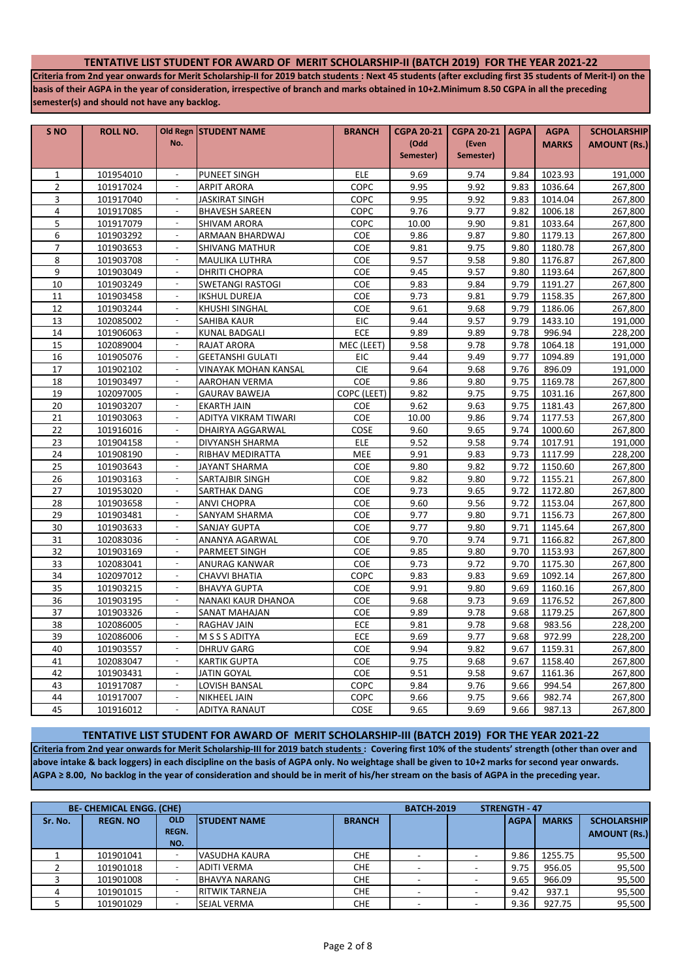### **TENTATIVE LIST STUDENT FOR AWARD OF MERIT SCHOLARSHIP-II (BATCH 2019) FOR THE YEAR 2021-22**

**Criteria from 2nd year onwards for Merit Scholarship-II for 2019 batch students : Next 45 students (after excluding first 35 students of Merit-I) on the basis of their AGPA in the year of consideration, irrespective of branch and marks obtained in 10+2.Minimum 8.50 CGPA in all the preceding semester(s) and should not have any backlog.**

| S <sub>NO</sub>                | <b>ROLL NO.</b>        |                             | Old Regn STUDENT NAME                    | <b>BRANCH</b>     | <b>CGPA 20-21</b> | <b>CGPA 20-21   AGPA</b> |              | <b>AGPA</b>        | <b>SCHOLARSHIP</b>  |
|--------------------------------|------------------------|-----------------------------|------------------------------------------|-------------------|-------------------|--------------------------|--------------|--------------------|---------------------|
|                                |                        | No.                         |                                          |                   | (Odd              | (Even                    |              | <b>MARKS</b>       | <b>AMOUNT (Rs.)</b> |
|                                |                        |                             |                                          |                   | Semester)         | Semester)                |              |                    |                     |
|                                |                        | $\blacksquare$              |                                          |                   |                   |                          |              |                    |                     |
| $\mathbf{1}$<br>$\overline{2}$ | 101954010<br>101917024 |                             | PUNEET SINGH                             | ELE<br>COPC       | 9.69<br>9.95      | 9.74<br>9.92             | 9.84<br>9.83 | 1023.93            | 191,000             |
| 3                              |                        | $\blacksquare$              | <b>ARPIT ARORA</b>                       |                   |                   |                          | 9.83         | 1036.64            | 267,800             |
| $\overline{4}$                 | 101917040              | $\sim$                      | <b>JASKIRAT SINGH</b>                    | COPC              | 9.95<br>9.76      | 9.92<br>9.77             | 9.82         | 1014.04            | 267,800             |
| 5                              | 101917085<br>101917079 | $\mathcal{L}_{\mathcal{A}}$ | <b>BHAVESH SAREEN</b>                    | COPC<br>COPC      | 10.00             | 9.90                     | 9.81         | 1006.18<br>1033.64 | 267,800             |
|                                |                        | $\overline{\phantom{a}}$    | <b>SHIVAM ARORA</b>                      |                   |                   |                          |              |                    | 267,800             |
| 6<br>7                         | 101903292<br>101903653 | $\omega$                    | ARMAAN BHARDWAJ<br><b>SHIVANG MATHUR</b> | <b>COE</b><br>COE | 9.86<br>9.81      | 9.87<br>9.75             | 9.80<br>9.80 | 1179.13<br>1180.78 | 267,800<br>267,800  |
| 8                              | 101903708              | $\mathbf{r}$                | <b>MAULIKA LUTHRA</b>                    | COE               | 9.57              | 9.58                     | 9.80         | 1176.87            | 267,800             |
| 9                              | 101903049              | L.                          | <b>DHRITI CHOPRA</b>                     | COE               | 9.45              | 9.57                     | 9.80         | 1193.64            | 267,800             |
| 10                             | 101903249              | $\omega$                    | <b>SWETANGI RASTOGI</b>                  | COE               | 9.83              | 9.84                     | 9.79         | 1191.27            | 267,800             |
| 11                             | 101903458              |                             | <b>IKSHUL DUREJA</b>                     | COE               | 9.73              | 9.81                     | 9.79         | 1158.35            | 267,800             |
| 12                             | 101903244              |                             | <b>KHUSHI SINGHAL</b>                    | COE               | 9.61              | 9.68                     | 9.79         | 1186.06            | 267,800             |
| 13                             | 102085002              |                             | SAHIBA KAUR                              | <b>EIC</b>        | 9.44              | 9.57                     | 9.79         | 1433.10            | 191,000             |
| 14                             | 101906063              |                             | <b>KUNAL BADGALI</b>                     | <b>ECE</b>        | 9.89              | 9.89                     | 9.78         | 996.94             | 228,200             |
| 15                             | 102089004              |                             | RAJAT ARORA                              | MEC (LEET)        | 9.58              | 9.78                     | 9.78         | 1064.18            | 191,000             |
| 16                             | 101905076              | $\overline{\phantom{a}}$    | <b>GEETANSHI GULATI</b>                  | EIC               | 9.44              | 9.49                     | 9.77         | 1094.89            | 191,000             |
| 17                             | 101902102              |                             | VINAYAK MOHAN KANSAL                     | <b>CIE</b>        | 9.64              | 9.68                     | 9.76         | 896.09             | 191,000             |
| 18                             | 101903497              | $\blacksquare$              | AAROHAN VERMA                            | COE               | 9.86              | 9.80                     | 9.75         | 1169.78            | 267,800             |
| 19                             | 102097005              | $\overline{\phantom{a}}$    | <b>GAURAV BAWEJA</b>                     | COPC (LEET)       | 9.82              | 9.75                     | 9.75         | 1031.16            | 267,800             |
| 20                             | 101903207              | $\blacksquare$              | <b>EKARTH JAIN</b>                       | COE               | 9.62              | 9.63                     | 9.75         | 1181.43            | 267,800             |
| 21                             | 101903063              |                             | ADITYA VIKRAM TIWARI                     | <b>COE</b>        | 10.00             | 9.86                     | 9.74         | 1177.53            | 267,800             |
| 22                             | 101916016              | $\omega$                    | DHAIRYA AGGARWAL                         | COSE              | 9.60              | 9.65                     | 9.74         | 1000.60            | 267,800             |
| 23                             | 101904158              | ÷,                          | DIVYANSH SHARMA                          | <b>ELE</b>        | 9.52              | 9.58                     | 9.74         | 1017.91            | 191,000             |
| 24                             | 101908190              | $\omega$                    | RIBHAV MEDIRATTA                         | <b>MEE</b>        | 9.91              | 9.83                     | 9.73         | 1117.99            | 228,200             |
| 25                             | 101903643              |                             | <b>JAYANT SHARMA</b>                     | COE               | 9.80              | 9.82                     | 9.72         | 1150.60            | 267,800             |
| 26                             | 101903163              | ä,                          | <b>SARTAJBIR SINGH</b>                   | COE               | 9.82              | 9.80                     | 9.72         | 1155.21            | 267,800             |
| 27                             | 101953020              |                             | <b>SARTHAK DANG</b>                      | COE               | 9.73              | 9.65                     | 9.72         | 1172.80            | 267,800             |
| 28                             | 101903658              |                             | <b>ANVI CHOPRA</b>                       | COE               | 9.60              | 9.56                     | 9.72         | 1153.04            | 267,800             |
| 29                             | 101903481              |                             | <b>SANYAM SHARMA</b>                     | COE               | 9.77              | 9.80                     | 9.71         | 1156.73            | 267,800             |
| 30                             | 101903633              |                             | <b>SANJAY GUPTA</b>                      | COE               | 9.77              | 9.80                     | 9.71         | 1145.64            | 267,800             |
| 31                             | 102083036              | $\overline{\phantom{a}}$    | ANANYA AGARWAL                           | COE               | 9.70              | 9.74                     | 9.71         | 1166.82            | 267,800             |
| 32                             | 101903169              |                             | PARMEET SINGH                            | COE               | 9.85              | 9.80                     | 9.70         | 1153.93            | 267,800             |
| 33                             | 102083041              | $\blacksquare$              | ANURAG KANWAR                            | <b>COE</b>        | 9.73              | 9.72                     | 9.70         | 1175.30            | 267,800             |
| 34                             | 102097012              | ÷.                          | CHAVVI BHATIA                            | COPC              | 9.83              | 9.83                     | 9.69         | 1092.14            | 267,800             |
| 35                             | 101903215              | $\omega$                    | <b>BHAVYA GUPTA</b>                      | COE               | 9.91              | 9.80                     | 9.69         | 1160.16            | 267,800             |
| 36                             | 101903195              |                             | NANAKI KAUR DHANOA                       | COE               | 9.68              | 9.73                     | 9.69         | 1176.52            | 267,800             |
| 37                             | 101903326              | $\sim$                      | SANAT MAHAJAN                            | <b>COE</b>        | 9.89              | 9.78                     | 9.68         | 1179.25            | 267,800             |
| 38                             | 102086005              | ÷,                          | <b>RAGHAV JAIN</b>                       | ECE               | 9.81              | 9.78                     | 9.68         | 983.56             | 228,200             |
| 39                             | 102086006              | $\overline{\phantom{a}}$    | M S S S ADITYA                           | <b>ECE</b>        | 9.69              | 9.77                     | 9.68         | 972.99             | 228,200             |
| 40                             | 101903557              | $\omega$                    | <b>DHRUV GARG</b>                        | COE               | 9.94              | 9.82                     | 9.67         | 1159.31            | 267,800             |
| 41                             | 102083047              | ä,                          | <b>KARTIK GUPTA</b>                      | COE               | 9.75              | 9.68                     | 9.67         | 1158.40            | 267,800             |
| 42                             | 101903431              |                             | <b>JATIN GOYAL</b>                       | COE               | 9.51              | 9.58                     | 9.67         | 1161.36            | 267,800             |
| 43                             | 101917087              |                             | LOVISH BANSAL                            | COPC              | 9.84              | 9.76                     | 9.66         | 994.54             | 267,800             |
| 44                             | 101917007              |                             | <b>NIKHEEL JAIN</b>                      | COPC              | 9.66              | 9.75                     | 9.66         | 982.74             | 267,800             |
| 45                             | 101916012              |                             | <b>ADITYA RANAUT</b>                     | COSE              | 9.65              | 9.69                     | 9.66         | 987.13             | 267,800             |

**Criteria from 2nd year onwards for Merit Scholarship-III for 2019 batch students : Covering first 10% of the students' strength (other than over and above intake & back loggers) in each discipline on the basis of AGPA only. No weightage shall be given to 10+2 marks for second year onwards. AGPA ≥ 8.00, No backlog in the year of consideration and should be in merit of his/her stream on the basis of AGPA in the preceding year. TENTATIVE LIST STUDENT FOR AWARD OF MERIT SCHOLARSHIP-III (BATCH 2019) FOR THE YEAR 2021-22**

|         | <b>BE- CHEMICAL ENGG. (CHE)</b> | <b>BATCH-2019</b>                 | <b>STRENGTH - 47</b>  |               |  |             |              |                                           |
|---------|---------------------------------|-----------------------------------|-----------------------|---------------|--|-------------|--------------|-------------------------------------------|
| Sr. No. | <b>REGN. NO</b>                 | <b>OLD</b><br><b>REGN.</b><br>NO. | <b>ISTUDENT NAME</b>  | <b>BRANCH</b> |  | <b>AGPA</b> | <b>MARKS</b> | <b>SCHOLARSHIP</b><br><b>AMOUNT (Rs.)</b> |
|         |                                 |                                   |                       |               |  |             |              |                                           |
|         | 101901041                       |                                   | VASUDHA KAURA         | <b>CHE</b>    |  | 9.86        | 1255.75      | 95,500                                    |
|         | 101901018                       |                                   | <b>ADITI VERMA</b>    | <b>CHE</b>    |  | 9.75        | 956.05       | 95,500                                    |
|         | 101901008                       |                                   | <b>BHAVYA NARANG</b>  | <b>CHE</b>    |  | 9.65        | 966.09       | 95,500                                    |
|         | 101901015                       |                                   | <b>RITWIK TARNEJA</b> | <b>CHE</b>    |  | 9.42        | 937.1        | 95,500                                    |
|         | 101901029                       |                                   | <b>SEJAL VERMA</b>    | <b>CHE</b>    |  | 9.36        | 927.75       | 95,500                                    |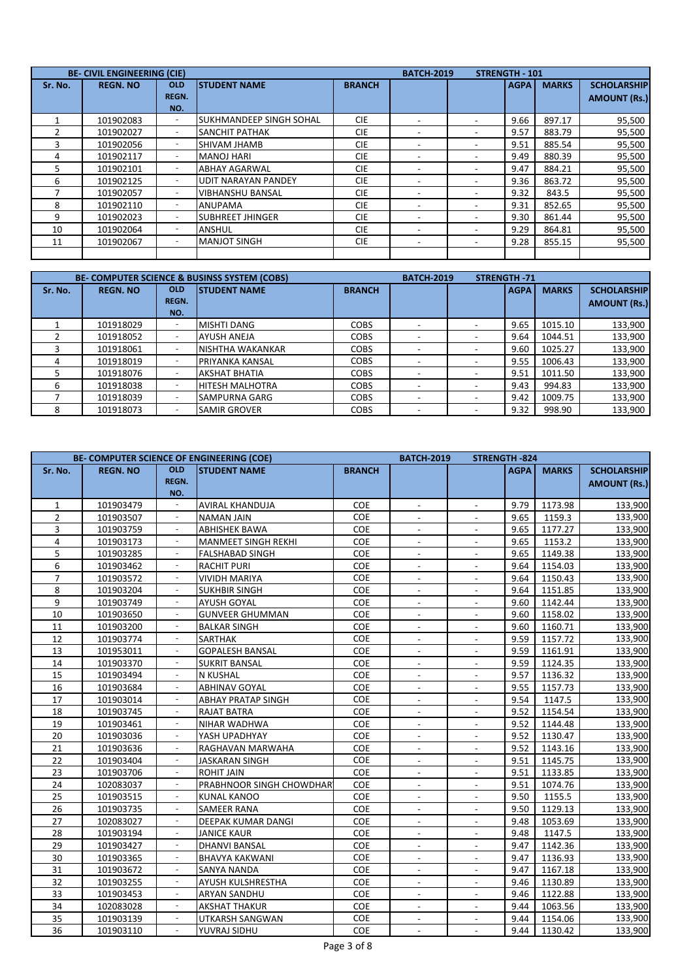|         | <b>BE- CIVIL ENGINEERING (CIE)</b> |                                   |                                  |               | <b>BATCH-2019</b>        |                          | <b>STRENGTH - 101</b> |              |                                           |
|---------|------------------------------------|-----------------------------------|----------------------------------|---------------|--------------------------|--------------------------|-----------------------|--------------|-------------------------------------------|
| Sr. No. | <b>REGN. NO</b>                    | <b>OLD</b><br><b>REGN.</b><br>NO. | <b>ISTUDENT NAME</b>             | <b>BRANCH</b> |                          |                          | <b>AGPA</b>           | <b>MARKS</b> | <b>SCHOLARSHIP</b><br><b>AMOUNT (Rs.)</b> |
|         | 101902083                          |                                   | <b>I</b> SUKHMANDEEP SINGH SOHAL | <b>CIE</b>    |                          |                          | 9.66                  | 897.17       | 95,500                                    |
|         | 101902027                          | $\overline{\phantom{a}}$          | <b>SANCHIT PATHAK</b>            | <b>CIE</b>    |                          |                          | 9.57                  | 883.79       | 95,500                                    |
|         | 101902056                          |                                   | SHIVAM JHAMB                     | <b>CIE</b>    |                          | -                        | 9.51                  | 885.54       | 95,500                                    |
| 4       | 101902117                          |                                   | <b>MANOJ HARI</b>                | <b>CIE</b>    |                          |                          | 9.49                  | 880.39       | 95,500                                    |
| 5       | 101902101                          | $\overline{\phantom{a}}$          | <b>ABHAY AGARWAL</b>             | <b>CIE</b>    |                          | $\overline{\phantom{0}}$ | 9.47                  | 884.21       | 95,500                                    |
| 6       | 101902125                          |                                   | <b>UDIT NARAYAN PANDEY</b>       | <b>CIE</b>    |                          |                          | 9.36                  | 863.72       | 95,500                                    |
|         | 101902057                          |                                   | <b>VIBHANSHU BANSAL</b>          | <b>CIE</b>    | $\overline{\phantom{a}}$ |                          | 9.32                  | 843.5        | 95,500                                    |
| 8       | 101902110                          |                                   | <b>ANUPAMA</b>                   | <b>CIE</b>    |                          |                          | 9.31                  | 852.65       | 95,500                                    |
| 9       | 101902023                          |                                   | <b>SUBHREET JHINGER</b>          | <b>CIE</b>    |                          |                          | 9.30                  | 861.44       | 95,500                                    |
| 10      | 101902064                          | $\overline{\phantom{a}}$          | ANSHUL                           | <b>CIE</b>    | $\overline{\phantom{a}}$ |                          | 9.29                  | 864.81       | 95,500                                    |
| 11      | 101902067                          |                                   | <b>MANJOT SINGH</b>              | <b>CIE</b>    |                          |                          | 9.28                  | 855.15       | 95,500                                    |
|         |                                    |                                   |                                  |               |                          |                          |                       |              |                                           |

|         | <b>BE- COMPUTER SCIENCE &amp; BUSINSS SYSTEM (COBS)</b> |              | <b>BATCH-2019</b>       |               | <b>STRENGTH-71</b> |                          |             |              |                     |
|---------|---------------------------------------------------------|--------------|-------------------------|---------------|--------------------|--------------------------|-------------|--------------|---------------------|
| Sr. No. | <b>REGN. NO</b>                                         | <b>OLD</b>   | <b>ISTUDENT NAME</b>    | <b>BRANCH</b> |                    |                          | <b>AGPA</b> | <b>MARKS</b> | <b>SCHOLARSHIP</b>  |
|         |                                                         | <b>REGN.</b> |                         |               |                    |                          |             |              | <b>AMOUNT (Rs.)</b> |
|         |                                                         | NO.          |                         |               |                    |                          |             |              |                     |
|         | 101918029                                               |              | <b>MISHTI DANG</b>      | <b>COBS</b>   |                    |                          | 9.65        | 1015.10      | 133,900             |
|         | 101918052                                               |              | <b>AYUSH ANEJA</b>      | <b>COBS</b>   |                    |                          | 9.64        | 1044.51      | 133,900             |
|         | 101918061                                               |              | <b>NISHTHA WAKANKAR</b> | <b>COBS</b>   |                    |                          | 9.60        | 1025.27      | 133,900             |
| 4       | 101918019                                               |              | PRIYANKA KANSAL         | <b>COBS</b>   |                    |                          | 9.55        | 1006.43      | 133,900             |
|         | 101918076                                               |              | <b>AKSHAT BHATIA</b>    | <b>COBS</b>   |                    |                          | 9.51        | 1011.50      | 133,900             |
|         | 101918038                                               |              | <b>HITESH MALHOTRA</b>  | <b>COBS</b>   |                    | $\overline{\phantom{a}}$ | 9.43        | 994.83       | 133,900             |
|         | 101918039                                               |              | <b>SAMPURNA GARG</b>    | <b>COBS</b>   |                    |                          | 9.42        | 1009.75      | 133,900             |
| 8       | 101918073                                               |              | <b>SAMIR GROVER</b>     | <b>COBS</b>   |                    |                          | 9.32        | 998.90       | 133,900             |

|                     |                 |                                 | <b>BE- COMPUTER SCIENCE OF ENGINEERING (COE)</b> |               | <b>BATCH-2019</b>        | <b>STRENGTH-824</b>      |             |              |                     |
|---------------------|-----------------|---------------------------------|--------------------------------------------------|---------------|--------------------------|--------------------------|-------------|--------------|---------------------|
| Sr. No.             | <b>REGN. NO</b> | <b>OLD</b>                      | <b>STUDENT NAME</b>                              | <b>BRANCH</b> |                          |                          | <b>AGPA</b> | <b>MARKS</b> | <b>SCHOLARSHIP</b>  |
|                     |                 | <b>REGN.</b>                    |                                                  |               |                          |                          |             |              | <b>AMOUNT (Rs.)</b> |
|                     |                 | NO.<br>$\overline{\phantom{a}}$ |                                                  |               |                          |                          |             |              |                     |
| $\mathbf{1}$        | 101903479       | ÷,                              | <b>AVIRAL KHANDUJA</b>                           | COE<br>COE    | $\overline{\phantom{a}}$ | $\overline{\phantom{a}}$ | 9.79        | 1173.98      | 133,900             |
| $\overline{2}$<br>3 | 101903507       |                                 | <b>NAMAN JAIN</b>                                | COE           |                          |                          | 9.65        | 1159.3       | 133,900             |
|                     | 101903759       |                                 | ABHISHEK BAWA                                    |               |                          |                          | 9.65        | 1177.27      | 133,900             |
| 4<br>5              | 101903173       |                                 | MANMEET SINGH REKHI                              | COE           |                          |                          | 9.65        | 1153.2       | 133,900             |
| 6                   | 101903285       | L.                              | <b>FALSHABAD SINGH</b>                           | COE           | $\blacksquare$           |                          | 9.65        | 1149.38      | 133,900             |
|                     | 101903462       |                                 | <b>RACHIT PURI</b>                               | COE           |                          |                          | 9.64        | 1154.03      | 133,900             |
| $\overline{7}$      | 101903572       | $\blacksquare$                  | <b>VIVIDH MARIYA</b>                             | COE           | $\overline{a}$           |                          | 9.64        | 1150.43      | 133,900             |
| 8                   | 101903204       | $\blacksquare$                  | <b>SUKHBIR SINGH</b>                             | COE           | $\overline{\phantom{a}}$ | $\blacksquare$           | 9.64        | 1151.85      | 133,900             |
| 9                   | 101903749       |                                 | <b>AYUSH GOYAL</b>                               | COE           | $\blacksquare$           | $\overline{a}$           | 9.60        | 1142.44      | 133,900             |
| 10                  | 101903650       |                                 | <b>GUNVEER GHUMMAN</b>                           | COE           |                          |                          | 9.60        | 1158.02      | 133,900             |
| 11                  | 101903200       |                                 | <b>BALKAR SINGH</b>                              | COE           |                          |                          | 9.60        | 1160.71      | 133,900             |
| 12                  | 101903774       |                                 | <b>SARTHAK</b>                                   | <b>COE</b>    |                          |                          | 9.59        | 1157.72      | 133,900             |
| 13                  | 101953011       |                                 | <b>GOPALESH BANSAL</b>                           | COE           |                          |                          | 9.59        | 1161.91      | 133,900             |
| 14                  | 101903370       | ä,                              | <b>SUKRIT BANSAL</b>                             | COE           |                          |                          | 9.59        | 1124.35      | 133,900             |
| 15                  | 101903494       | $\overline{\phantom{a}}$        | <b>N KUSHAL</b>                                  | <b>COE</b>    | $\overline{a}$           | $\overline{a}$           | 9.57        | 1136.32      | 133,900             |
| 16                  | 101903684       | ÷,                              | <b>ABHINAV GOYAL</b>                             | <b>COE</b>    | $\overline{a}$           | $\overline{\phantom{a}}$ | 9.55        | 1157.73      | 133,900             |
| 17                  | 101903014       |                                 | <b>ABHAY PRATAP SINGH</b>                        | <b>COE</b>    |                          |                          | 9.54        | 1147.5       | 133,900             |
| 18                  | 101903745       |                                 | RAJAT BATRA                                      | COE           |                          |                          | 9.52        | 1154.54      | 133,900             |
| 19                  | 101903461       |                                 | NIHAR WADHWA                                     | COE           | $\overline{\phantom{a}}$ | $\overline{a}$           | 9.52        | 1144.48      | 133,900             |
| 20                  | 101903036       |                                 | YASH UPADHYAY                                    | COE           |                          |                          | 9.52        | 1130.47      | 133,900             |
| 21                  | 101903636       | $\sim$                          | RAGHAVAN MARWAHA                                 | COE           |                          |                          | 9.52        | 1143.16      | 133,900             |
| 22                  | 101903404       | ä,                              | <b>JASKARAN SINGH</b>                            | COE           |                          |                          | 9.51        | 1145.75      | 133,900             |
| 23                  | 101903706       | $\overline{\phantom{a}}$        | <b>ROHIT JAIN</b>                                | COE           | $\overline{\phantom{a}}$ | $\overline{\phantom{a}}$ | 9.51        | 1133.85      | 133,900             |
| 24                  | 102083037       |                                 | PRABHNOOR SINGH CHOWDHAR                         | COE           | $\overline{\phantom{a}}$ | $\overline{a}$           | 9.51        | 1074.76      | 133,900             |
| 25                  | 101903515       |                                 | <b>KUNAL KANOO</b>                               | COE           |                          |                          | 9.50        | 1155.5       | 133,900             |
| 26                  | 101903735       |                                 | SAMEER RANA                                      | COE           |                          |                          | 9.50        | 1129.13      | 133,900             |
| 27                  | 102083027       |                                 | DEEPAK KUMAR DANGI                               | COE           |                          |                          | 9.48        | 1053.69      | 133,900             |
| 28                  | 101903194       |                                 | <b>JANICE KAUR</b>                               | COE           |                          |                          | 9.48        | 1147.5       | 133,900             |
| 29                  | 101903427       | ä,                              | <b>DHANVI BANSAL</b>                             | COE           |                          |                          | 9.47        | 1142.36      | 133,900             |
| 30                  | 101903365       | $\overline{\phantom{a}}$        | <b>BHAVYA KAKWANI</b>                            | COE           | $\blacksquare$           | $\blacksquare$           | 9.47        | 1136.93      | 133,900             |
| 31                  | 101903672       |                                 | <b>SANYA NANDA</b>                               | COE           | $\overline{\phantom{a}}$ | $\overline{\phantom{a}}$ | 9.47        | 1167.18      | 133,900             |
| 32                  | 101903255       |                                 | AYUSH KULSHRESTHA                                | COE           |                          |                          | 9.46        | 1130.89      | 133,900             |
| 33                  | 101903453       |                                 | ARYAN SANDHU                                     | COE           | $\overline{\phantom{a}}$ |                          | 9.46        | 1122.88      | 133,900             |
| 34                  | 102083028       |                                 | <b>AKSHAT THAKUR</b>                             | COE           | $\blacksquare$           |                          | 9.44        | 1063.56      | 133,900             |
| 35                  | 101903139       |                                 | UTKARSH SANGWAN                                  | COE           |                          |                          | 9.44        | 1154.06      | 133,900             |
| 36                  |                 | $\sim$                          |                                                  | COE           |                          |                          | 9.44        |              | 133,900             |
|                     | 101903110       |                                 | YUVRAJ SIDHU                                     |               |                          |                          |             | 1130.42      |                     |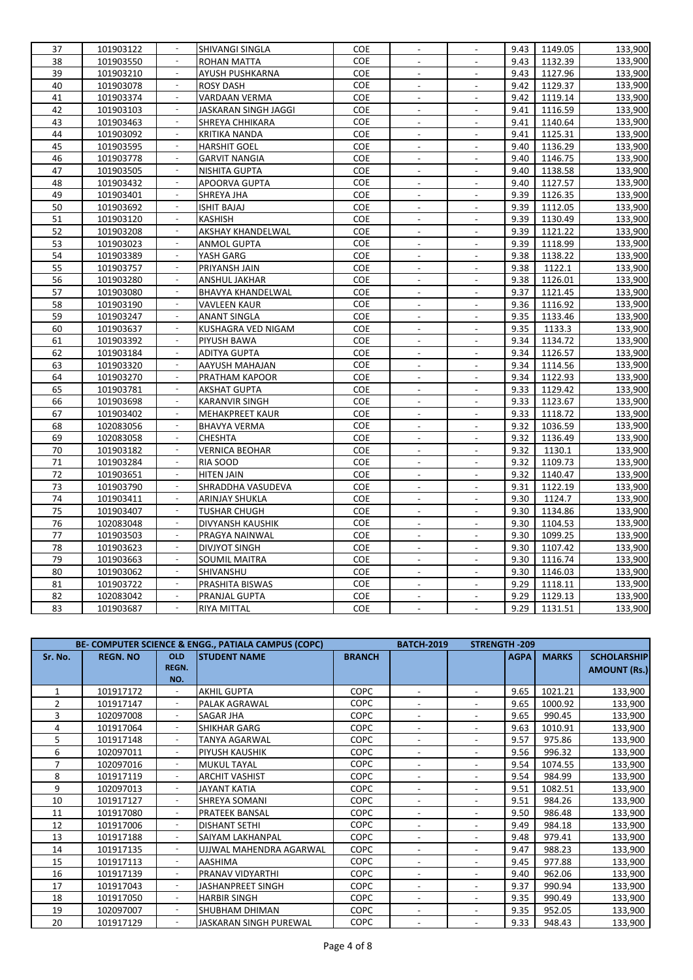| 37 | 101903122 |                          | SHIVANGI SINGLA          | COE        | $\blacksquare$           | $\overline{\phantom{a}}$ | 9.43 | 1149.05 | 133,900 |
|----|-----------|--------------------------|--------------------------|------------|--------------------------|--------------------------|------|---------|---------|
| 38 | 101903550 | $\omega$                 | ROHAN MATTA              | COE        | $\mathbf{r}$             | $\mathbf{r}$             | 9.43 | 1132.39 | 133,900 |
| 39 | 101903210 |                          | AYUSH PUSHKARNA          | COE        | $\blacksquare$           | $\overline{\phantom{a}}$ | 9.43 | 1127.96 | 133,900 |
| 40 | 101903078 | $\sim$                   | <b>ROSY DASH</b>         | COE        |                          |                          | 9.42 | 1129.37 | 133,900 |
| 41 | 101903374 | $\bar{z}$                | VARDAAN VERMA            | COE        | $\overline{a}$           |                          | 9.42 | 1119.14 | 133,900 |
| 42 | 101903103 |                          | JASKARAN SINGH JAGGI     | COE        |                          |                          | 9.41 | 1116.59 | 133,900 |
| 43 | 101903463 | $\overline{\phantom{a}}$ | SHREYA CHHIKARA          | COE        | $\overline{\phantom{a}}$ | $\sim$                   | 9.41 | 1140.64 | 133,900 |
| 44 | 101903092 | $\sim$                   | KRITIKA NANDA            | COE        | $\overline{a}$           | $\blacksquare$           | 9.41 | 1125.31 | 133,900 |
| 45 | 101903595 | $\blacksquare$           | <b>HARSHIT GOEL</b>      | <b>COE</b> | $\overline{a}$           | $\overline{\phantom{a}}$ | 9.40 | 1136.29 | 133,900 |
| 46 | 101903778 | $\sim$                   | <b>GARVIT NANGIA</b>     | COE        | $\overline{\phantom{a}}$ | $\blacksquare$           | 9.40 | 1146.75 | 133,900 |
| 47 | 101903505 | $\bar{z}$                | NISHITA GUPTA            | COE        |                          |                          | 9.40 | 1138.58 | 133,900 |
| 48 | 101903432 | $\overline{\phantom{a}}$ | APOORVA GUPTA            | COE        | $\overline{\phantom{a}}$ | $\overline{\phantom{a}}$ | 9.40 | 1127.57 | 133,900 |
| 49 | 101903401 |                          | SHREYA JHA               | COE        |                          |                          | 9.39 | 1126.35 | 133,900 |
| 50 | 101903692 | $\overline{\phantom{a}}$ | ISHIT BAJAJ              | COE        | $\overline{\phantom{a}}$ | $\blacksquare$           | 9.39 | 1112.05 | 133,900 |
| 51 | 101903120 | $\overline{\phantom{a}}$ | KASHISH                  | COE        | $\overline{a}$           | $\overline{a}$           | 9.39 | 1130.49 | 133,900 |
| 52 | 101903208 | $\omega$                 | <b>AKSHAY KHANDELWAL</b> | <b>COE</b> |                          | $\sim$                   | 9.39 | 1121.22 | 133,900 |
| 53 | 101903023 | $\sim$                   | <b>ANMOL GUPTA</b>       | COE        |                          |                          | 9.39 | 1118.99 | 133,900 |
| 54 | 101903389 |                          | YASH GARG                | COE        |                          |                          | 9.38 | 1138.22 | 133,900 |
| 55 | 101903757 |                          | PRIYANSH JAIN            | COE        | $\overline{\phantom{a}}$ | $\overline{\phantom{a}}$ | 9.38 | 1122.1  | 133,900 |
| 56 | 101903280 |                          | ANSHUL JAKHAR            | COE        | $\overline{a}$           | $\blacksquare$           | 9.38 | 1126.01 | 133,900 |
| 57 | 101903080 | $\sim$                   | BHAVYA KHANDELWAL        | COE        | $\overline{\phantom{a}}$ | $\blacksquare$           | 9.37 | 1121.45 | 133,900 |
| 58 | 101903190 |                          | <b>VAVLEEN KAUR</b>      | COE        | $\overline{a}$           | $\overline{a}$           | 9.36 | 1116.92 | 133,900 |
| 59 | 101903247 | $\omega$                 | <b>ANANT SINGLA</b>      | COE        | $\overline{a}$           |                          | 9.35 | 1133.46 | 133,900 |
| 60 | 101903637 | $\overline{\phantom{a}}$ | KUSHAGRA VED NIGAM       | COE        | $\overline{\phantom{a}}$ | $\overline{\phantom{a}}$ | 9.35 | 1133.3  | 133,900 |
| 61 | 101903392 |                          | PIYUSH BAWA              | COE        |                          |                          | 9.34 | 1134.72 | 133,900 |
| 62 | 101903184 | $\overline{\phantom{a}}$ | <b>ADITYA GUPTA</b>      | COE        | $\blacksquare$           | $\overline{\phantom{a}}$ | 9.34 | 1126.57 | 133,900 |
| 63 | 101903320 | ×.                       | AAYUSH MAHAJAN           | COE        | $\overline{a}$           | $\overline{\phantom{a}}$ | 9.34 | 1114.56 | 133,900 |
| 64 | 101903270 | $\Box$                   | PRATHAM KAPOOR           | COE        |                          | $\overline{a}$           | 9.34 | 1122.93 | 133,900 |
| 65 | 101903781 | $\overline{\phantom{a}}$ | <b>AKSHAT GUPTA</b>      | COE        | $\overline{\phantom{a}}$ | $\overline{\phantom{a}}$ | 9.33 | 1129.42 | 133,900 |
| 66 | 101903698 | ÷,                       | KARANVIR SINGH           | <b>COE</b> |                          |                          | 9.33 | 1123.67 | 133,900 |
| 67 | 101903402 |                          | <b>MEHAKPREET KAUR</b>   | COE        | $\overline{a}$           | $\overline{\phantom{a}}$ | 9.33 | 1118.72 | 133,900 |
| 68 | 102083056 |                          | <b>BHAVYA VERMA</b>      | COE        | $\blacksquare$           |                          | 9.32 | 1036.59 | 133,900 |
| 69 | 102083058 | $\sim$                   | CHESHTA                  | COE        | $\overline{\phantom{a}}$ | $\omega$                 | 9.32 | 1136.49 | 133,900 |
| 70 | 101903182 |                          | VERNICA BEOHAR           | COE        | $\overline{a}$           | $\overline{\phantom{a}}$ | 9.32 | 1130.1  | 133,900 |
| 71 | 101903284 | $\omega$                 | RIA SOOD                 | COE        | $\overline{a}$           | $\frac{1}{2}$            | 9.32 | 1109.73 | 133,900 |
| 72 | 101903651 | $\blacksquare$           | <b>HITEN JAIN</b>        | COE        | $\overline{\phantom{a}}$ | $\overline{\phantom{a}}$ | 9.32 | 1140.47 | 133,900 |
| 73 | 101903790 |                          | SHRADDHA VASUDEVA        | COE        |                          |                          | 9.31 | 1122.19 | 133,900 |
| 74 | 101903411 | $\overline{\phantom{a}}$ | <b>ARINJAY SHUKLA</b>    | COE        | $\blacksquare$           | $\sim$                   | 9.30 | 1124.7  | 133,900 |
| 75 | 101903407 | $\overline{\phantom{a}}$ | <b>TUSHAR CHUGH</b>      | COE        |                          | $\blacksquare$           | 9.30 | 1134.86 | 133,900 |
| 76 | 102083048 | $\blacksquare$           | DIVYANSH KAUSHIK         | COE        |                          | $\mathcal{L}$            | 9.30 | 1104.53 | 133,900 |
| 77 | 101903503 | $\sim$                   | PRAGYA NAINWAL           | COE        | $\blacksquare$           | $\overline{a}$           | 9.30 | 1099.25 | 133,900 |
| 78 | 101903623 | $\overline{\phantom{a}}$ | <b>DIVJYOT SINGH</b>     | COE        |                          |                          | 9.30 | 1107.42 | 133,900 |
| 79 | 101903663 |                          | <b>SOUMIL MAITRA</b>     | COE        | $\overline{\phantom{a}}$ | $\overline{\phantom{a}}$ | 9.30 | 1116.74 | 133,900 |
| 80 | 101903062 |                          | SHIVANSHU                | COE        |                          |                          | 9.30 | 1146.03 | 133,900 |
| 81 | 101903722 | $\overline{\phantom{a}}$ | PRASHITA BISWAS          | COE        | $\overline{\phantom{a}}$ | $\blacksquare$           | 9.29 | 1118.11 | 133,900 |
| 82 | 102083042 | ÷,                       | PRANJAL GUPTA            | COE        | $\overline{a}$           | $\overline{\phantom{a}}$ | 9.29 | 1129.13 | 133,900 |
| 83 | 101903687 |                          | <b>RIYA MITTAL</b>       | COE        |                          |                          | 9.29 | 1131.51 | 133,900 |

|               |                 |                          | BE- COMPUTER SCIENCE & ENGG., PATIALA CAMPUS (COPC) |               | <b>BATCH-2019</b>        | <b>STRENGTH-209</b>      |             |              |                     |
|---------------|-----------------|--------------------------|-----------------------------------------------------|---------------|--------------------------|--------------------------|-------------|--------------|---------------------|
| Sr. No.       | <b>REGN. NO</b> | <b>OLD</b>               | <b>STUDENT NAME</b>                                 | <b>BRANCH</b> |                          |                          | <b>AGPA</b> | <b>MARKS</b> | <b>SCHOLARSHIP</b>  |
|               |                 | REGN.                    |                                                     |               |                          |                          |             |              | <b>AMOUNT (Rs.)</b> |
|               |                 | NO.                      |                                                     |               |                          |                          |             |              |                     |
|               | 101917172       |                          | <b>AKHIL GUPTA</b>                                  | <b>COPC</b>   |                          | $\sim$                   | 9.65        | 1021.21      | 133,900             |
| $\mathcal{P}$ | 101917147       |                          | PALAK AGRAWAL                                       | <b>COPC</b>   |                          | Ξ.                       | 9.65        | 1000.92      | 133,900             |
| 3             | 102097008       |                          | <b>SAGAR JHA</b>                                    | <b>COPC</b>   |                          | $\overline{\phantom{0}}$ | 9.65        | 990.45       | 133,900             |
| 4             | 101917064       |                          | <b>SHIKHAR GARG</b>                                 | <b>COPC</b>   |                          | $\overline{\phantom{0}}$ | 9.63        | 1010.91      | 133,900             |
| 5             | 101917148       |                          | <b>TANYA AGARWAL</b>                                | <b>COPC</b>   |                          |                          | 9.57        | 975.86       | 133,900             |
| 6             | 102097011       |                          | <b>PIYUSH KAUSHIK</b>                               | <b>COPC</b>   |                          |                          | 9.56        | 996.32       | 133,900             |
|               | 102097016       |                          | <b>MUKUL TAYAL</b>                                  | <b>COPC</b>   |                          |                          | 9.54        | 1074.55      | 133,900             |
| 8             | 101917119       |                          | <b>ARCHIT VASHIST</b>                               | <b>COPC</b>   | $\overline{\phantom{0}}$ | $\overline{\phantom{0}}$ | 9.54        | 984.99       | 133,900             |
| 9             | 102097013       | ٠                        | <b>JAYANT KATIA</b>                                 | <b>COPC</b>   |                          | $\overline{\phantom{0}}$ | 9.51        | 1082.51      | 133,900             |
| 10            | 101917127       |                          | <b>SHREYA SOMANI</b>                                | <b>COPC</b>   |                          | $\overline{\phantom{0}}$ | 9.51        | 984.26       | 133,900             |
| 11            | 101917080       |                          | <b>PRATEEK BANSAL</b>                               | <b>COPC</b>   |                          | $\overline{\phantom{0}}$ | 9.50        | 986.48       | 133,900             |
| 12            | 101917006       |                          | <b>DISHANT SETHI</b>                                | <b>COPC</b>   |                          | $\overline{\phantom{0}}$ | 9.49        | 984.18       | 133,900             |
| 13            | 101917188       |                          | <b>SAIYAM LAKHANPAL</b>                             | <b>COPC</b>   |                          | Ξ.                       | 9.48        | 979.41       | 133,900             |
| 14            | 101917135       |                          | UJJWAL MAHENDRA AGARWAL                             | <b>COPC</b>   |                          |                          | 9.47        | 988.23       | 133,900             |
| 15            | 101917113       |                          | <b>AASHIMA</b>                                      | <b>COPC</b>   |                          | $\overline{\phantom{0}}$ | 9.45        | 977.88       | 133,900             |
| 16            | 101917139       |                          | <b>PRANAV VIDYARTHI</b>                             | <b>COPC</b>   | $\overline{\phantom{0}}$ | $\overline{\phantom{0}}$ | 9.40        | 962.06       | 133,900             |
| 17            | 101917043       |                          | JASHANPREET SINGH                                   | <b>COPC</b>   | $\blacksquare$           | ٠.                       | 9.37        | 990.94       | 133,900             |
| 18            | 101917050       |                          | <b>HARBIR SINGH</b>                                 | <b>COPC</b>   |                          | $\overline{\phantom{0}}$ | 9.35        | 990.49       | 133,900             |
| 19            | 102097007       | $\overline{\phantom{a}}$ | <b>SHUBHAM DHIMAN</b>                               | <b>COPC</b>   |                          | $\overline{\phantom{0}}$ | 9.35        | 952.05       | 133,900             |
| 20            | 101917129       |                          | JASKARAN SINGH PUREWAL                              | <b>COPC</b>   |                          |                          | 9.33        | 948.43       | 133,900             |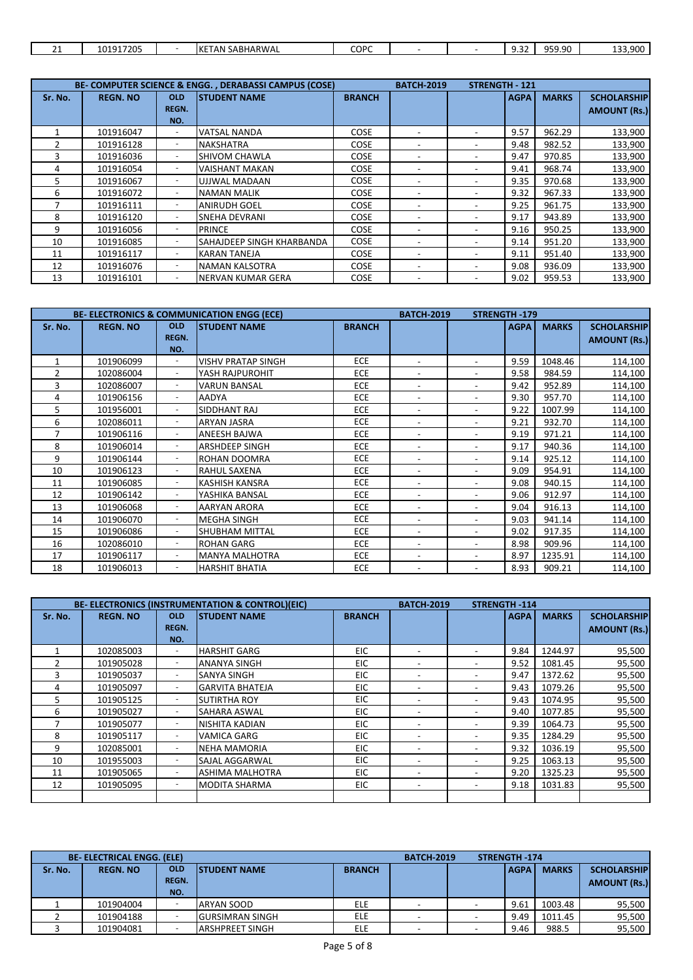| COPC<br>101917205<br>QFQQ<br>SABHARWAL<br>$\sim$<br>$\sim$<br>$\sim$<br>$IKF^-$<br>$\sim$<br>. AN<br>. .<br><b>JJJ.JU</b><br>، ب ب<br><u>_ _</u> |  |  |  |  |  |                |
|--------------------------------------------------------------------------------------------------------------------------------------------------|--|--|--|--|--|----------------|
|                                                                                                                                                  |  |  |  |  |  | റററ<br>133,300 |

| BE- COMPUTER SCIENCE & ENGG., DERABASSI CAMPUS (COSE) |                 |                          |                                  |               | <b>BATCH-2019</b> | <b>STRENGTH - 121</b> |             |              |                     |
|-------------------------------------------------------|-----------------|--------------------------|----------------------------------|---------------|-------------------|-----------------------|-------------|--------------|---------------------|
| Sr. No.                                               | <b>REGN. NO</b> | <b>OLD</b>               | <b>STUDENT NAME</b>              | <b>BRANCH</b> |                   |                       | <b>AGPA</b> | <b>MARKS</b> | <b>SCHOLARSHIP</b>  |
|                                                       |                 | <b>REGN.</b>             |                                  |               |                   |                       |             |              | <b>AMOUNT (Rs.)</b> |
|                                                       |                 | NO.                      |                                  |               |                   |                       |             |              |                     |
|                                                       | 101916047       |                          | <b>VATSAL NANDA</b>              | <b>COSE</b>   |                   |                       | 9.57        | 962.29       | 133,900             |
|                                                       | 101916128       |                          | <b>NAKSHATRA</b>                 | <b>COSE</b>   |                   |                       | 9.48        | 982.52       | 133,900             |
|                                                       | 101916036       |                          | <b>SHIVOM CHAWLA</b>             | COSE          |                   |                       | 9.47        | 970.85       | 133,900             |
| 4                                                     | 101916054       |                          | <b>VAISHANT MAKAN</b>            | <b>COSE</b>   |                   |                       | 9.41        | 968.74       | 133,900             |
|                                                       | 101916067       |                          | <b>UJJWAL MADAAN</b>             | <b>COSE</b>   |                   |                       | 9.35        | 970.68       | 133,900             |
| 6                                                     | 101916072       |                          | <b>NAMAN MALIK</b>               | <b>COSE</b>   |                   |                       | 9.32        | 967.33       | 133,900             |
|                                                       | 101916111       | $\overline{\phantom{a}}$ | <b>ANIRUDH GOEL</b>              | <b>COSE</b>   |                   |                       | 9.25        | 961.75       | 133,900             |
| 8                                                     | 101916120       |                          | <b>SNEHA DEVRANI</b>             | COSE          |                   |                       | 9.17        | 943.89       | 133,900             |
| 9                                                     | 101916056       |                          | <b>PRINCE</b>                    | <b>COSE</b>   |                   |                       | 9.16        | 950.25       | 133,900             |
| 10                                                    | 101916085       |                          | <b>SAHAJDEEP SINGH KHARBANDA</b> | COSE          |                   |                       | 9.14        | 951.20       | 133,900             |
| 11                                                    | 101916117       | ٠                        | <b>KARAN TANEJA</b>              | <b>COSE</b>   |                   |                       | 9.11        | 951.40       | 133,900             |
| 12                                                    | 101916076       | $\overline{\phantom{a}}$ | <b>NAMAN KALSOTRA</b>            | <b>COSE</b>   |                   |                       | 9.08        | 936.09       | 133,900             |
| 13                                                    | 101916101       |                          | <b>INERVAN KUMAR GERA</b>        | <b>COSE</b>   |                   |                       | 9.02        | 959.53       | 133,900             |

|               | <b>BE- ELECTRONICS &amp; COMMUNICATION ENGG (ECE)</b> |                          | <b>BATCH-2019</b>         | <b>STRENGTH-179</b> |                          |                              |             |              |                     |
|---------------|-------------------------------------------------------|--------------------------|---------------------------|---------------------|--------------------------|------------------------------|-------------|--------------|---------------------|
| Sr. No.       | <b>REGN. NO</b>                                       | <b>OLD</b>               | <b>STUDENT NAME</b>       | <b>BRANCH</b>       |                          |                              | <b>AGPA</b> | <b>MARKS</b> | <b>SCHOLARSHIP</b>  |
|               |                                                       | <b>REGN.</b>             |                           |                     |                          |                              |             |              | <b>AMOUNT (Rs.)</b> |
|               |                                                       | NO.                      |                           |                     |                          |                              |             |              |                     |
| 1             | 101906099                                             |                          | <b>VISHV PRATAP SINGH</b> | <b>ECE</b>          |                          | ۰                            | 9.59        | 1048.46      | 114,100             |
| $\mathcal{P}$ | 102086004                                             | ٠                        | YASH RAJPUROHIT           | <b>ECE</b>          | $\overline{\phantom{a}}$ | ۰                            | 9.58        | 984.59       | 114,100             |
| 3             | 102086007                                             | $\overline{\phantom{a}}$ | <b>VARUN BANSAL</b>       | ECE                 |                          | ۰                            | 9.42        | 952.89       | 114,100             |
| 4             | 101906156                                             |                          | <b>AADYA</b>              | <b>ECE</b>          | $\overline{\phantom{0}}$ | ۰                            | 9.30        | 957.70       | 114,100             |
| 5             | 101956001                                             | ٠                        | SIDDHANT RAJ              | <b>ECE</b>          | $\overline{\phantom{a}}$ | ۰                            | 9.22        | 1007.99      | 114,100             |
| 6             | 102086011                                             | $\overline{\phantom{a}}$ | <b>ARYAN JASRA</b>        | <b>ECE</b>          |                          |                              | 9.21        | 932.70       | 114,100             |
| 7             | 101906116                                             |                          | <b>ANEESH BAJWA</b>       | ECE                 |                          | $\overline{\phantom{a}}$     | 9.19        | 971.21       | 114,100             |
| 8             | 101906014                                             | ٠                        | <b>ARSHDEEP SINGH</b>     | ECE                 | $\overline{\phantom{a}}$ | $\overline{\phantom{0}}$     | 9.17        | 940.36       | 114,100             |
| 9             | 101906144                                             | ٠                        | <b>ROHAN DOOMRA</b>       | <b>ECE</b>          |                          |                              | 9.14        | 925.12       | 114,100             |
| 10            | 101906123                                             |                          | <b>RAHUL SAXENA</b>       | ECE                 |                          | ۰                            | 9.09        | 954.91       | 114,100             |
| 11            | 101906085                                             |                          | <b>KASHISH KANSRA</b>     | ECE                 |                          |                              | 9.08        | 940.15       | 114,100             |
| 12            | 101906142                                             | ٠                        | YASHIKA BANSAL            | ECE                 | $\blacksquare$           | ۰                            | 9.06        | 912.97       | 114,100             |
| 13            | 101906068                                             | $\overline{\phantom{a}}$ | <b>AARYAN ARORA</b>       | ECE                 |                          |                              | 9.04        | 916.13       | 114,100             |
| 14            | 101906070                                             |                          | <b>MEGHA SINGH</b>        | ECE                 |                          |                              | 9.03        | 941.14       | 114,100             |
| 15            | 101906086                                             | ٠                        | <b>SHUBHAM MITTAL</b>     | <b>ECE</b>          | $\overline{\phantom{a}}$ | ۰                            | 9.02        | 917.35       | 114,100             |
| 16            | 102086010                                             | $\overline{\phantom{a}}$ | <b>ROHAN GARG</b>         | ECE                 |                          |                              | 8.98        | 909.96       | 114,100             |
| 17            | 101906117                                             |                          | <b>MANYA MALHOTRA</b>     | ECE                 | $\overline{\phantom{a}}$ | ۰                            | 8.97        | 1235.91      | 114,100             |
| 18            | 101906013                                             |                          | <b>HARSHIT BHATIA</b>     | ECE                 |                          | $\qquad \qquad \blacksquare$ | 8.93        | 909.21       | 114,100             |

|         | BE- ELECTRONICS (INSTRUMENTATION & CONTROL)(EIC) |                                   | <b>BATCH-2019</b>      | <b>STRENGTH -114</b> |                          |  |             |              |                                           |
|---------|--------------------------------------------------|-----------------------------------|------------------------|----------------------|--------------------------|--|-------------|--------------|-------------------------------------------|
| Sr. No. | <b>REGN. NO</b>                                  | <b>OLD</b><br><b>REGN.</b><br>NO. | <b>STUDENT NAME</b>    | <b>BRANCH</b>        |                          |  | <b>AGPA</b> | <b>MARKS</b> | <b>SCHOLARSHIP</b><br><b>AMOUNT (Rs.)</b> |
|         | 102085003                                        | ٠                                 | <b>HARSHIT GARG</b>    | EIC                  |                          |  | 9.84        | 1244.97      | 95,500                                    |
|         | 101905028                                        |                                   | <b>ANANYA SINGH</b>    | EIC                  |                          |  | 9.52        | 1081.45      | 95,500                                    |
| 3       | 101905037                                        | $\overline{\phantom{a}}$          | <b>SANYA SINGH</b>     | <b>EIC</b>           |                          |  | 9.47        | 1372.62      | 95,500                                    |
| 4       | 101905097                                        |                                   | <b>GARVITA BHATEJA</b> | <b>EIC</b>           |                          |  | 9.43        | 1079.26      | 95,500                                    |
| 5       | 101905125                                        |                                   | <b>SUTIRTHA ROY</b>    | <b>EIC</b>           |                          |  | 9.43        | 1074.95      | 95,500                                    |
| 6       | 101905027                                        |                                   | SAHARA ASWAL           | <b>EIC</b>           |                          |  | 9.40        | 1077.85      | 95,500                                    |
|         | 101905077                                        |                                   | NISHITA KADIAN         | EIC                  | $\overline{\phantom{a}}$ |  | 9.39        | 1064.73      | 95,500                                    |
| 8       | 101905117                                        | $\sim$                            | <b>VAMICA GARG</b>     | <b>EIC</b>           |                          |  | 9.35        | 1284.29      | 95,500                                    |
| 9       | 102085001                                        | ٠                                 | <b>NEHA MAMORIA</b>    | EIC.                 |                          |  | 9.32        | 1036.19      | 95,500                                    |
| 10      | 101955003                                        |                                   | SAJAL AGGARWAL         | <b>EIC</b>           |                          |  | 9.25        | 1063.13      | 95,500                                    |
| 11      | 101905065                                        |                                   | <b>ASHIMA MALHOTRA</b> | <b>EIC</b>           |                          |  | 9.20        | 1325.23      | 95,500                                    |
| 12      | 101905095                                        |                                   | <b>MODITA SHARMA</b>   | EIC                  | $\overline{\phantom{a}}$ |  | 9.18        | 1031.83      | 95,500                                    |
|         |                                                  |                                   |                        |                      |                          |  |             |              |                                           |

|         | <b>BE- ELECTRICAL ENGG. (ELE)</b> |                                   |                        |               | <b>BATCH-2019</b> | <b>STRENGTH-174</b> |              |                                           |
|---------|-----------------------------------|-----------------------------------|------------------------|---------------|-------------------|---------------------|--------------|-------------------------------------------|
| Sr. No. | <b>REGN. NO</b>                   | <b>OLD</b><br><b>REGN.</b><br>NO. | <b>ISTUDENT NAME</b>   | <b>BRANCH</b> |                   | <b>AGPA</b>         | <b>MARKS</b> | <b>SCHOLARSHIP</b><br><b>AMOUNT (Rs.)</b> |
|         | 101904004                         |                                   | ARYAN SOOD             | <b>ELE</b>    |                   | 9.61                | 1003.48      | 95,500                                    |
|         | 101904188                         |                                   | <b>GURSIMRAN SINGH</b> | <b>ELE</b>    |                   | 9.49                | 1011.45      | 95,500                                    |
|         | 101904081                         |                                   | <b>ARSHPREET SINGH</b> | <b>ELE</b>    |                   | 9.46                | 988.5        | 95,500                                    |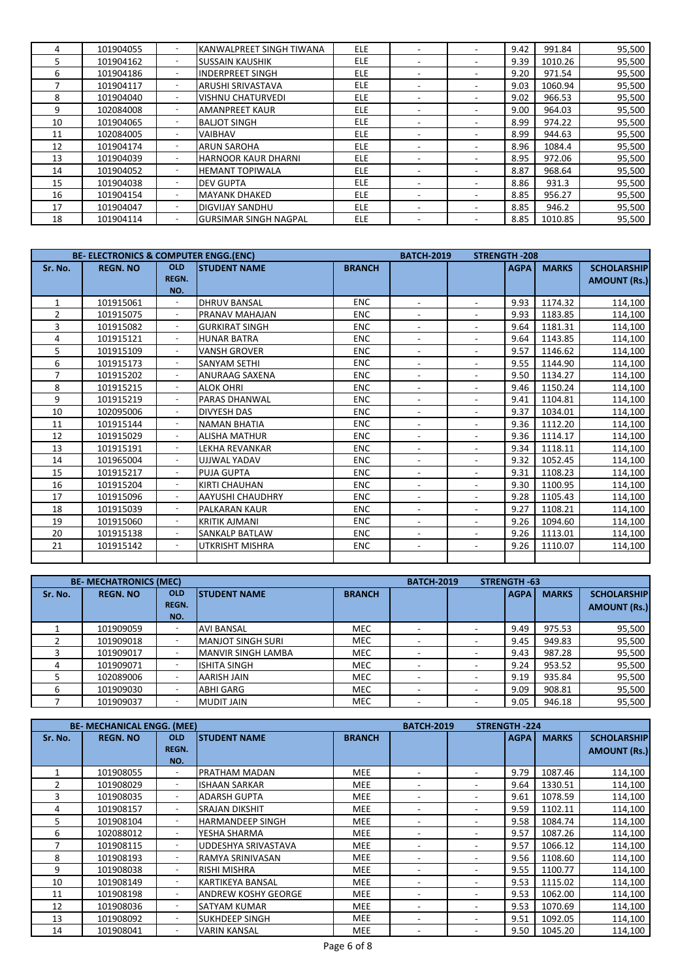|    | 101904055 | KANWALPREET SINGH TIWANA     | ELE.       |  | 9.42 | 991.84  | 95,500 |
|----|-----------|------------------------------|------------|--|------|---------|--------|
| ∍  | 101904162 | <b>SUSSAIN KAUSHIK</b>       | <b>ELE</b> |  | 9.39 | 1010.26 | 95,500 |
| 6  | 101904186 | <b>INDERPREET SINGH</b>      | <b>ELE</b> |  | 9.20 | 971.54  | 95,500 |
|    | 101904117 | ARUSHI SRIVASTAVA            | ELE.       |  | 9.03 | 1060.94 | 95,500 |
| 8  | 101904040 | <b>VISHNU CHATURVEDI</b>     | ELE.       |  | 9.02 | 966.53  | 95,500 |
| 9  | 102084008 | <b>AMANPREET KAUR</b>        | ELE.       |  | 9.00 | 964.03  | 95,500 |
| 10 | 101904065 | <b>BALIOT SINGH</b>          | <b>ELE</b> |  | 8.99 | 974.22  | 95,500 |
| 11 | 102084005 | <b>VAIBHAV</b>               | ELE.       |  | 8.99 | 944.63  | 95,500 |
| 12 | 101904174 | <b>ARUN SAROHA</b>           | ELE.       |  | 8.96 | 1084.4  | 95,500 |
| 13 | 101904039 | <b>HARNOOR KAUR DHARNI</b>   | ELE.       |  | 8.95 | 972.06  | 95,500 |
| 14 | 101904052 | <b>HEMANT TOPIWALA</b>       | ELE.       |  | 8.87 | 968.64  | 95,500 |
| 15 | 101904038 | <b>DEV GUPTA</b>             | <b>ELE</b> |  | 8.86 | 931.3   | 95,500 |
| 16 | 101904154 | <b>MAYANK DHAKED</b>         | ELE.       |  | 8.85 | 956.27  | 95,500 |
| 17 | 101904047 | <b>DIGVIJAY SANDHU</b>       | <b>ELE</b> |  | 8.85 | 946.2   | 95,500 |
| 18 | 101904114 | <b>GURSIMAR SINGH NAGPAL</b> | ELE.       |  | 8.85 | 1010.85 | 95,500 |

|              | <b>BE- ELECTRONICS &amp; COMPUTER ENGG. (ENC)</b> |                          |                        |               | <b>BATCH-2019</b><br><b>STRENGTH-208</b> |                          |             |              |                     |
|--------------|---------------------------------------------------|--------------------------|------------------------|---------------|------------------------------------------|--------------------------|-------------|--------------|---------------------|
| Sr. No.      | <b>REGN. NO</b>                                   | <b>OLD</b>               | <b>STUDENT NAME</b>    | <b>BRANCH</b> |                                          |                          | <b>AGPA</b> | <b>MARKS</b> | <b>SCHOLARSHIP</b>  |
|              |                                                   | <b>REGN.</b>             |                        |               |                                          |                          |             |              | <b>AMOUNT (Rs.)</b> |
|              |                                                   | NO.                      |                        |               |                                          |                          |             |              |                     |
| $\mathbf{1}$ | 101915061                                         |                          | <b>DHRUV BANSAL</b>    | <b>ENC</b>    | $\overline{\phantom{0}}$                 | $\overline{\phantom{a}}$ | 9.93        | 1174.32      | 114,100             |
| 2            | 101915075                                         | $\sim$                   | PRANAV MAHAJAN         | <b>ENC</b>    | $\blacksquare$                           |                          | 9.93        | 1183.85      | 114,100             |
| 3            | 101915082                                         | $\sim$                   | <b>GURKIRAT SINGH</b>  | <b>ENC</b>    | $\overline{\phantom{a}}$                 |                          | 9.64        | 1181.31      | 114,100             |
| 4            | 101915121                                         | $\overline{\phantom{a}}$ | <b>HUNAR BATRA</b>     | <b>ENC</b>    | $\overline{\phantom{a}}$                 | $\overline{\phantom{0}}$ | 9.64        | 1143.85      | 114,100             |
| 5            | 101915109                                         | ٠                        | <b>VANSH GROVER</b>    | <b>ENC</b>    | $\overline{\phantom{a}}$                 | ٠.                       | 9.57        | 1146.62      | 114,100             |
| 6            | 101915173                                         |                          | <b>SANYAM SETHI</b>    | <b>ENC</b>    | $\overline{\phantom{a}}$                 | $\overline{\phantom{0}}$ | 9.55        | 1144.90      | 114,100             |
| 7            | 101915202                                         |                          | <b>ANURAAG SAXENA</b>  | <b>ENC</b>    |                                          |                          | 9.50        | 1134.27      | 114,100             |
| 8            | 101915215                                         |                          | <b>ALOK OHRI</b>       | <b>ENC</b>    |                                          |                          | 9.46        | 1150.24      | 114,100             |
| 9            | 101915219                                         | $\overline{\phantom{a}}$ | <b>PARAS DHANWAL</b>   | <b>ENC</b>    | $\overline{\phantom{a}}$                 |                          | 9.41        | 1104.81      | 114,100             |
| 10           | 102095006                                         | $\overline{\phantom{a}}$ | <b>DIVYESH DAS</b>     | <b>ENC</b>    |                                          | ٠.                       | 9.37        | 1034.01      | 114,100             |
| 11           | 101915144                                         | ٠                        | <b>NAMAN BHATIA</b>    | <b>ENC</b>    | $\overline{\phantom{0}}$                 | $\overline{\phantom{0}}$ | 9.36        | 1112.20      | 114,100             |
| 12           | 101915029                                         | $\overline{\phantom{a}}$ | <b>ALISHA MATHUR</b>   | <b>ENC</b>    | $\overline{\phantom{a}}$                 |                          | 9.36        | 1114.17      | 114,100             |
| 13           | 101915191                                         | ٠                        | LEKHA REVANKAR         | <b>ENC</b>    | $\blacksquare$                           |                          | 9.34        | 1118.11      | 114,100             |
| 14           | 101965004                                         | $\sim$                   | <b>UJJWAL YADAV</b>    | <b>ENC</b>    | $\overline{\phantom{a}}$                 | $\overline{\phantom{0}}$ | 9.32        | 1052.45      | 114,100             |
| 15           | 101915217                                         |                          | <b>PUJA GUPTA</b>      | <b>ENC</b>    | $\overline{\phantom{a}}$                 | $\overline{\phantom{0}}$ | 9.31        | 1108.23      | 114,100             |
| 16           | 101915204                                         | ٠                        | <b>KIRTI CHAUHAN</b>   | <b>ENC</b>    | $\overline{\phantom{a}}$                 | $\overline{\phantom{0}}$ | 9.30        | 1100.95      | 114,100             |
| 17           | 101915096                                         |                          | AAYUSHI CHAUDHRY       | <b>ENC</b>    | $\overline{\phantom{a}}$                 | ٠.                       | 9.28        | 1105.43      | 114,100             |
| 18           | 101915039                                         |                          | <b>PALKARAN KAUR</b>   | <b>ENC</b>    |                                          |                          | 9.27        | 1108.21      | 114,100             |
| 19           | 101915060                                         |                          | <b>KRITIK AJMANI</b>   | <b>ENC</b>    | $\overline{\phantom{a}}$                 |                          | 9.26        | 1094.60      | 114,100             |
| 20           | 101915138                                         |                          | SANKALP BATLAW         | <b>ENC</b>    |                                          |                          | 9.26        | 1113.01      | 114,100             |
| 21           | 101915142                                         | $\sim$                   | <b>UTKRISHT MISHRA</b> | <b>ENC</b>    | $\overline{\phantom{a}}$                 | ۰                        | 9.26        | 1110.07      | 114,100             |
|              |                                                   |                          |                        |               |                                          |                          |             |              |                     |

|         | <b>BE- MECHATRONICS (MEC)</b> |                                   |                           |               | <b>BATCH-2019</b> | <b>STRENGTH-63</b> |             |              |                                           |
|---------|-------------------------------|-----------------------------------|---------------------------|---------------|-------------------|--------------------|-------------|--------------|-------------------------------------------|
| Sr. No. | <b>REGN. NO</b>               | <b>OLD</b><br><b>REGN.</b><br>NO. | <b>ISTUDENT NAME</b>      | <b>BRANCH</b> |                   |                    | <b>AGPA</b> | <b>MARKS</b> | <b>SCHOLARSHIP</b><br><b>AMOUNT (Rs.)</b> |
|         | 101909059                     |                                   | <b>AVI BANSAL</b>         | MEC           |                   |                    | 9.49        | 975.53       | 95,500                                    |
|         | 101909018                     |                                   | <b>MANJOT SINGH SURI</b>  | <b>MEC</b>    |                   |                    | 9.45        | 949.83       | 95,500                                    |
|         | 101909017                     |                                   | <b>MANVIR SINGH LAMBA</b> | MEC           |                   |                    | 9.43        | 987.28       | 95,500                                    |
|         | 101909071                     |                                   | <b>ISHITA SINGH</b>       | <b>MEC</b>    |                   |                    | 9.24        | 953.52       | 95,500                                    |
|         | 102089006                     |                                   | <b>AARISH JAIN</b>        | <b>MEC</b>    |                   |                    | 9.19        | 935.84       | 95,500                                    |
|         | 101909030                     |                                   | <b>ABHI GARG</b>          | <b>MEC</b>    |                   |                    | 9.09        | 908.81       | 95,500                                    |
|         | 101909037                     |                                   | <b>MUDIT JAIN</b>         | MEC           |                   |                    | 9.05        | 946.18       | 95,500                                    |

|         | <b>BE- MECHANICAL ENGG. (MEE)</b> |                          |                            |               | <b>BATCH-2019</b>        | <b>STRENGTH-224</b> |              |                     |
|---------|-----------------------------------|--------------------------|----------------------------|---------------|--------------------------|---------------------|--------------|---------------------|
| Sr. No. | <b>REGN. NO</b>                   | <b>OLD</b>               | <b>ISTUDENT NAME</b>       | <b>BRANCH</b> |                          | <b>AGPA</b>         | <b>MARKS</b> | <b>SCHOLARSHIP</b>  |
|         |                                   | <b>REGN.</b>             |                            |               |                          |                     |              | <b>AMOUNT (Rs.)</b> |
|         |                                   | NO.                      |                            |               |                          |                     |              |                     |
|         | 101908055                         |                          | <b>PRATHAM MADAN</b>       | <b>MEE</b>    |                          | 9.79                | 1087.46      | 114,100             |
| C       | 101908029                         | $\overline{\phantom{a}}$ | <b>ISHAAN SARKAR</b>       | <b>MEE</b>    |                          | 9.64                | 1330.51      | 114,100             |
| 3       | 101908035                         |                          | <b>ADARSH GUPTA</b>        | <b>MEE</b>    |                          | 9.61                | 1078.59      | 114,100             |
| 4       | 101908157                         |                          | <b>SRAJAN DIKSHIT</b>      | <b>MEE</b>    |                          | 9.59                | 1102.11      | 114,100             |
| 5       | 101908104                         |                          | <b>HARMANDEEP SINGH</b>    | <b>MEE</b>    |                          | 9.58                | 1084.74      | 114,100             |
| 6       | 102088012                         |                          | YESHA SHARMA               | <b>MEE</b>    |                          | 9.57                | 1087.26      | 114,100             |
|         | 101908115                         |                          | UDDESHYA SRIVASTAVA        | <b>MEE</b>    |                          | 9.57                | 1066.12      | 114,100             |
| 8       | 101908193                         |                          | <b>RAMYA SRINIVASAN</b>    | <b>MEE</b>    |                          | 9.56                | 1108.60      | 114,100             |
| 9       | 101908038                         |                          | <b>RISHI MISHRA</b>        | <b>MEE</b>    |                          | 9.55                | 1100.77      | 114,100             |
| 10      | 101908149                         |                          | <b>KARTIKEYA BANSAL</b>    | <b>MEE</b>    |                          | 9.53                | 1115.02      | 114,100             |
| 11      | 101908198                         |                          | <b>ANDREW KOSHY GEORGE</b> | <b>MEE</b>    |                          | 9.53                | 1062.00      | 114,100             |
| 12      | 101908036                         |                          | <b>SATYAM KUMAR</b>        | <b>MEE</b>    | $\overline{\phantom{0}}$ | 9.53                | 1070.69      | 114,100             |
| 13      | 101908092                         |                          | <b>SUKHDEEP SINGH</b>      | <b>MEE</b>    | $\overline{\phantom{a}}$ | 9.51                | 1092.05      | 114,100             |
| 14      | 101908041                         |                          | <b>VARIN KANSAL</b>        | <b>MEE</b>    |                          | 9.50                | 1045.20      | 114,100             |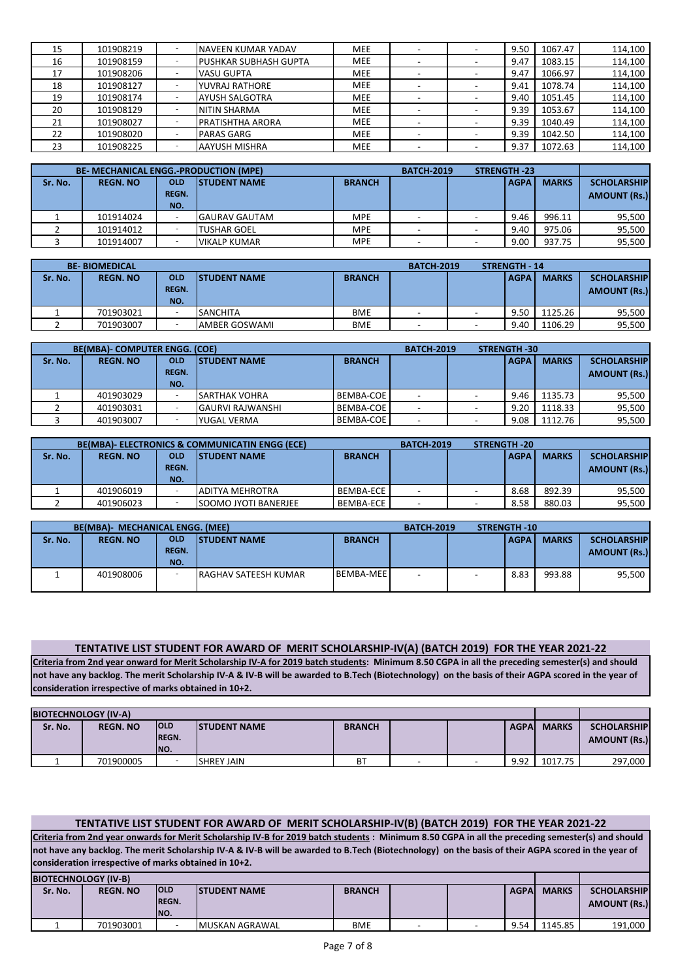| 15 | 101908219 | <b>INAVEEN KUMAR YADAV</b>   | <b>MEE</b> |  | 9.50 | 1067.47 | 114,100 |
|----|-----------|------------------------------|------------|--|------|---------|---------|
| 16 | 101908159 | <b>PUSHKAR SUBHASH GUPTA</b> | <b>MEE</b> |  | 9.47 | 1083.15 | 114,100 |
| 17 | 101908206 | <b>VASU GUPTA</b>            | <b>MEE</b> |  | 9.47 | 1066.97 | 114,100 |
| 18 | 101908127 | <b>YUVRAJ RATHORE</b>        | <b>MEE</b> |  | 9.41 | 1078.74 | 114,100 |
| 19 | 101908174 | <b>AYUSH SALGOTRA</b>        | <b>MEE</b> |  | 9.40 | 1051.45 | 114,100 |
| 20 | 101908129 | <b>NITIN SHARMA</b>          | <b>MEE</b> |  | 9.39 | 1053.67 | 114,100 |
| 21 | 101908027 | <b>PRATISHTHA ARORA</b>      | <b>MEE</b> |  | 9.39 | 1040.49 | 114,100 |
| 22 | 101908020 | <b>PARAS GARG</b>            | <b>MEE</b> |  | 9.39 | 1042.50 | 114,100 |
| 23 | 101908225 | <b>AAYUSH MISHRA</b>         | <b>MEE</b> |  | 9.37 | 1072.63 | 114,100 |

|         | <b>BE- MECHANICAL ENGG.-PRODUCTION (MPE)</b> |                                                     |                      |     | <b>BATCH-2019</b> | <b>STRENGTH -23</b> |             |              |                     |
|---------|----------------------------------------------|-----------------------------------------------------|----------------------|-----|-------------------|---------------------|-------------|--------------|---------------------|
| Sr. No. | <b>REGN. NO</b>                              | <b>OLD</b><br><b>ISTUDENT NAME</b><br><b>BRANCH</b> |                      |     |                   |                     | <b>AGPA</b> | <b>MARKS</b> | <b>SCHOLARSHIP</b>  |
|         |                                              | <b>REGN.</b>                                        |                      |     |                   |                     |             |              | <b>AMOUNT (Rs.)</b> |
|         |                                              | NO.                                                 |                      |     |                   |                     |             |              |                     |
|         | 101914024                                    |                                                     | <b>GAURAV GAUTAM</b> | MPE |                   |                     | 9.46        | 996.11       | 95,500              |
|         | 101914012                                    |                                                     | <b>TUSHAR GOEL</b>   | MPE |                   |                     | 9.40        | 975.06       | 95,500              |
|         | 101914007                                    |                                                     | VIKALP KUMAR         | MPE |                   |                     | 9.00        | 937.75       | 95,500              |

|         | <b>BE-BIOMEDICAL</b> |                                   | <b>STRENGTH - 14</b><br><b>BATCH-2019</b> |               |  |  |             |              |                                           |
|---------|----------------------|-----------------------------------|-------------------------------------------|---------------|--|--|-------------|--------------|-------------------------------------------|
| Sr. No. | <b>REGN. NO</b>      | <b>OLD</b><br><b>REGN.</b><br>NO. | <b>ISTUDENT NAME</b>                      | <b>BRANCH</b> |  |  | <b>AGPA</b> | <b>MARKS</b> | <b>SCHOLARSHIP</b><br><b>AMOUNT (Rs.)</b> |
|         | 701903021            |                                   | <b>SANCHITA</b>                           | <b>BME</b>    |  |  | 9.50        | 1125.26      | 95,500                                    |
|         | 701903007            |                                   | AMBER GOSWAMI                             | <b>BME</b>    |  |  | 9.40        | 1106.29      | 95,500                                    |

|         | <b>BE(MBA)- COMPUTER ENGG. (COE)</b> |              |                         |               | <b>STRENGTH -30</b><br><b>BATCH-2019</b> |             |              |                     |
|---------|--------------------------------------|--------------|-------------------------|---------------|------------------------------------------|-------------|--------------|---------------------|
| Sr. No. | <b>REGN. NO</b>                      | <b>OLD</b>   | <b>ISTUDENT NAME</b>    | <b>BRANCH</b> |                                          | <b>AGPA</b> | <b>MARKS</b> | <b>SCHOLARSHIP</b>  |
|         |                                      | <b>REGN.</b> |                         |               |                                          |             |              | <b>AMOUNT (Rs.)</b> |
|         |                                      | NO.          |                         |               |                                          |             |              |                     |
|         | 401903029                            |              | <b>SARTHAK VOHRA</b>    | BEMBA-COE     |                                          | 9.46        | 1135.73      | 95,500              |
|         | 401903031                            |              | <b>GAURVI RAJWANSHI</b> | BEMBA-COE     |                                          | 9.20        | 1118.33      | 95,500              |
|         | 401903007                            |              | YUGAL VERMA             | BEMBA-COE     |                                          | 9.08        | 1112.76      | 95,500              |

|         |                 |              | <b>BE(MBA)- ELECTRONICS &amp; COMMUNICATIN ENGG (ECE)</b> |               | <b>BATCH-2019</b> | <b>STRENGTH-20</b> |             |              |                     |
|---------|-----------------|--------------|-----------------------------------------------------------|---------------|-------------------|--------------------|-------------|--------------|---------------------|
| Sr. No. | <b>REGN. NO</b> | <b>OLD</b>   | <b>ISTUDENT NAME</b>                                      | <b>BRANCH</b> |                   |                    | <b>AGPA</b> | <b>MARKS</b> | <b>SCHOLARSHIP</b>  |
|         |                 | <b>REGN.</b> |                                                           |               |                   |                    |             |              | <b>AMOUNT (Rs.)</b> |
|         |                 | NO.          |                                                           |               |                   |                    |             |              |                     |
|         | 401906019       |              | <b>JADITYA MEHROTRA</b>                                   | BEMBA-ECE     |                   |                    | 8.68        | 892.39       | 95,500              |
|         | 401906023       |              | <b>SOOMO JYOTI BANERJEE</b>                               | BEMBA-ECE     |                   |                    | 8.58        | 880.03       | 95,500              |

|         | <b>BE(MBA)- MECHANICAL ENGG. (MEE)</b> |                                   |                             |                  | <b>BATCH-2019</b> | <b>STRENGTH -10</b> |              |                                           |
|---------|----------------------------------------|-----------------------------------|-----------------------------|------------------|-------------------|---------------------|--------------|-------------------------------------------|
| Sr. No. | <b>REGN. NO</b>                        | <b>OLD</b><br><b>REGN.</b><br>NO. | <b>ISTUDENT NAME</b>        | <b>BRANCH</b>    |                   | <b>AGPA</b>         | <b>MARKS</b> | <b>SCHOLARSHIP</b><br><b>AMOUNT (Rs.)</b> |
|         | 401908006                              |                                   | <b>RAGHAV SATEESH KUMAR</b> | <b>BEMBA-MEE</b> |                   | 8.83                | 993.88       | 95.500                                    |

### **TENTATIVE LIST STUDENT FOR AWARD OF MERIT SCHOLARSHIP-IV(A) (BATCH 2019) FOR THE YEAR 2021-22**

**Criteria from 2nd year onward for Merit Scholarship IV-A for 2019 batch students: Minimum 8.50 CGPA in all the preceding semester(s) and should not have any backlog. The merit Scholarship IV-A & IV-B will be awarded to B.Tech (Biotechnology) on the basis of their AGPA scored in the year of consideration irrespective of marks obtained in 10+2.**

| <b>BIOTECHNOLOGY (IV-A)</b> |                 |                                     |                      |               |  |        |             |              |                                           |
|-----------------------------|-----------------|-------------------------------------|----------------------|---------------|--|--------|-------------|--------------|-------------------------------------------|
| Sr. No.                     | <b>REGN. NO</b> | <b>IOLD</b><br><b>IREGN.</b><br>NO. | <b>ISTUDENT NAME</b> | <b>BRANCH</b> |  |        | <b>AGPA</b> | <b>MARKS</b> | <b>SCHOLARSHIP</b><br><b>AMOUNT (Rs.)</b> |
|                             | 701900005       |                                     | <b>SHREY JAIN</b>    | BT            |  | $\sim$ | 9.92        | 1017.75      | 297,000                                   |

## **TENTATIVE LIST STUDENT FOR AWARD OF MERIT SCHOLARSHIP-IV(B) (BATCH 2019) FOR THE YEAR 2021-22**

**Criteria from 2nd year onwards for Merit Scholarship IV-B for 2019 batch students : Minimum 8.50 CGPA in all the preceding semester(s) and should not have any backlog. The merit Scholarship IV-A & IV-B will be awarded to B.Tech (Biotechnology) on the basis of their AGPA scored in the year of consideration irrespective of marks obtained in 10+2.**

**BIOTECHNOLOGY (IV-B) Sr. No. REGN. NO OLD REGN. NO. STUDENT NAME BRANCH BRANCH AGPA MARKS SCHOLARSHIP AMOUNT (Rs.)**  1 701903001 - MUSKAN AGRAWAL BME - 9.54 1145.85 191,000